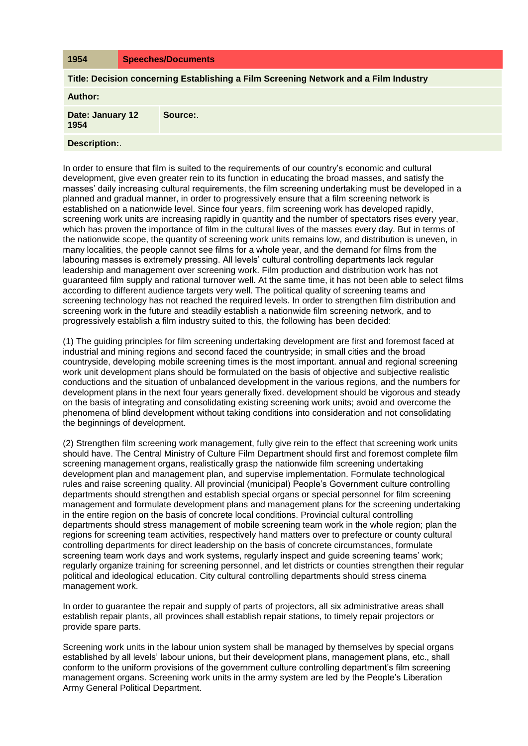| 1954                                                                                 |  | <b>Speeches/Documents</b> |
|--------------------------------------------------------------------------------------|--|---------------------------|
| Title: Decision concerning Establishing a Film Screening Network and a Film Industry |  |                           |
| Author:                                                                              |  |                           |
| Date: January 12<br>1954                                                             |  | Source:                   |
| <b>Description:.</b>                                                                 |  |                           |

In order to ensure that film is suited to the requirements of our country's economic and cultural development, give even greater rein to its function in educating the broad masses, and satisfy the masses' daily increasing cultural requirements, the film screening undertaking must be developed in a planned and gradual manner, in order to progressively ensure that a film screening network is established on a nationwide level. Since four years, film screening work has developed rapidly, screening work units are increasing rapidly in quantity and the number of spectators rises every year, which has proven the importance of film in the cultural lives of the masses every day. But in terms of the nationwide scope, the quantity of screening work units remains low, and distribution is uneven, in many localities, the people cannot see films for a whole year, and the demand for films from the labouring masses is extremely pressing. All levels' cultural controlling departments lack regular leadership and management over screening work. Film production and distribution work has not guaranteed film supply and rational turnover well. At the same time, it has not been able to select films according to different audience targets very well. The political quality of screening teams and screening technology has not reached the required levels. In order to strengthen film distribution and screening work in the future and steadily establish a nationwide film screening network, and to progressively establish a film industry suited to this, the following has been decided:

(1) The guiding principles for film screening undertaking development are first and foremost faced at industrial and mining regions and second faced the countryside; in small cities and the broad countryside, developing mobile screening times is the most important. annual and regional screening work unit development plans should be formulated on the basis of objective and subjective realistic conductions and the situation of unbalanced development in the various regions, and the numbers for development plans in the next four years generally fixed. development should be vigorous and steady on the basis of integrating and consolidating existing screening work units; avoid and overcome the phenomena of blind development without taking conditions into consideration and not consolidating the beginnings of development.

(2) Strengthen film screening work management, fully give rein to the effect that screening work units should have. The Central Ministry of Culture Film Department should first and foremost complete film screening management organs, realistically grasp the nationwide film screening undertaking development plan and management plan, and supervise implementation. Formulate technological rules and raise screening quality. All provincial (municipal) People's Government culture controlling departments should strengthen and establish special organs or special personnel for film screening management and formulate development plans and management plans for the screening undertaking in the entire region on the basis of concrete local conditions. Provincial cultural controlling departments should stress management of mobile screening team work in the whole region; plan the regions for screening team activities, respectively hand matters over to prefecture or county cultural controlling departments for direct leadership on the basis of concrete circumstances, formulate screening team work days and work systems, regularly inspect and guide screening teams' work; regularly organize training for screening personnel, and let districts or counties strengthen their regular political and ideological education. City cultural controlling departments should stress cinema management work.

In order to guarantee the repair and supply of parts of projectors, all six administrative areas shall establish repair plants, all provinces shall establish repair stations, to timely repair projectors or provide spare parts.

Screening work units in the labour union system shall be managed by themselves by special organs established by all levels' labour unions, but their development plans, management plans, etc., shall conform to the uniform provisions of the government culture controlling department's film screening management organs. Screening work units in the army system are led by the People's Liberation Army General Political Department.